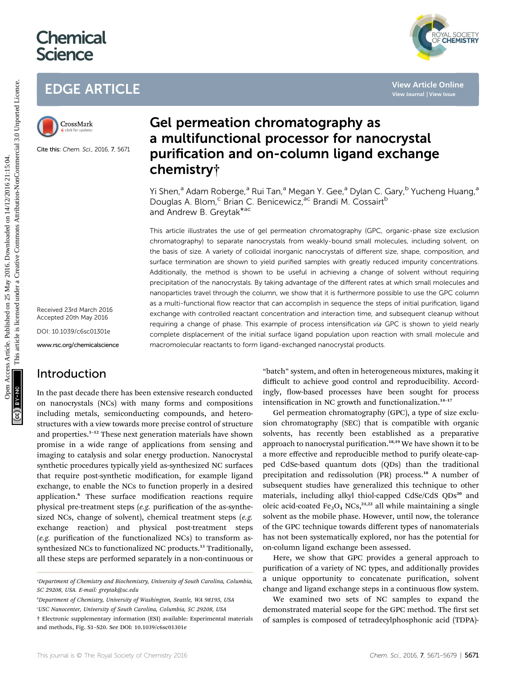# **Chemical Science**



# EDGE ARTICLE



Cite this: Chem. Sci., 2016, 7, 5671

Received 23rd March 2016 Accepted 20th May 2016

DOI: 10.1039/c6sc01301e

www.rsc.org/chemicalscience

# Introduction

In the past decade there has been extensive research conducted on nanocrystals (NCs) with many forms and compositions including metals, semiconducting compounds, and heterostructures with a view towards more precise control of structure and properties.<sup>1</sup>–<sup>12</sup> These next generation materials have shown promise in a wide range of applications from sensing and imaging to catalysis and solar energy production. Nanocrystal synthetic procedures typically yield as-synthesized NC surfaces that require post-synthetic modification, for example ligand exchange, to enable the NCs to function properly in a desired application.<sup>6</sup> These surface modification reactions require physical pre-treatment steps ( $e.g.$  purification of the as-synthesized NCs, change of solvent), chemical treatment steps (e.g. exchange reaction) and physical post-treatment steps  $(e.g.$  purification of the functionalized NCs) to transform assynthesized NCs to functionalized NC products.<sup>13</sup> Traditionally, all these steps are performed separately in a non-continuous or

b Department of Chemistry, University of Washington, Seattle, WA 98195, USA

USC Nanocenter, University of South Carolina, Columbia, SC 29208, USA

# Gel permeation chromatography as a multifunctional processor for nanocrystal purification and on-column ligand exchange chemistry†

Yi Shen,<sup>a</sup> Adam Roberge,<sup>a</sup> Rui Tan,<sup>a</sup> Megan Y. Gee,<sup>a</sup> Dylan C. Gary,<sup>b</sup> Yucheng Huang,<sup>a</sup> Douglas A. Blom,<sup>c</sup> Brian C. Benicewicz,<sup>ac</sup> Brandi M. Cossairt<sup>b</sup> and Andrew B. Greytak\*ac

This article illustrates the use of gel permeation chromatography (GPC, organic-phase size exclusion chromatography) to separate nanocrystals from weakly-bound small molecules, including solvent, on the basis of size. A variety of colloidal inorganic nanocrystals of different size, shape, composition, and surface termination are shown to yield purified samples with greatly reduced impurity concentrations. Additionally, the method is shown to be useful in achieving a change of solvent without requiring precipitation of the nanocrystals. By taking advantage of the different rates at which small molecules and nanoparticles travel through the column, we show that it is furthermore possible to use the GPC column as a multi-functional flow reactor that can accomplish in sequence the steps of initial purification, ligand exchange with controlled reactant concentration and interaction time, and subsequent cleanup without requiring a change of phase. This example of process intensification via GPC is shown to yield nearly complete displacement of the initial surface ligand population upon reaction with small molecule and macromolecular reactants to form ligand-exchanged nanocrystal products. EDGE ARTICLE<br>
Constant Gel permeation chromatography as<br>
a multifunctional processor for nanocrystal<br>
Carenta and an -column ligand exchange<br>
Chemistry<br>
To Shen,<sup>2</sup> Adam Roberge,<sup>2</sup> Rui Tan,<sup>2</sup> Megan Y. Gee,<sup>2</sup> Dylan C. Ga

"batch" system, and often in heterogeneous mixtures, making it difficult to achieve good control and reproducibility. Accordingly, flow-based processes have been sought for process intensification in NC growth and functionalization.<sup>14-17</sup>

Gel permeation chromatography (GPC), a type of size exclusion chromatography (SEC) that is compatible with organic solvents, has recently been established as a preparative approach to nanocrystal purification.<sup>18,19</sup> We have shown it to be a more effective and reproducible method to purify oleate-capped CdSe-based quantum dots (QDs) than the traditional precipitation and redissolution (PR) process.<sup>18</sup> A number of subsequent studies have generalized this technique to other materials, including alkyl thiol-capped CdSe/CdS QDs<sup>20</sup> and oleic acid-coated Fe<sub>3</sub>O<sub>4</sub> NCs,<sup>21,22</sup> all while maintaining a single solvent as the mobile phase. However, until now, the tolerance of the GPC technique towards different types of nanomaterials has not been systematically explored, nor has the potential for on-column ligand exchange been assessed.

Here, we show that GPC provides a general approach to purification of a variety of NC types, and additionally provides a unique opportunity to concatenate purification, solvent change and ligand exchange steps in a continuous flow system.

We examined two sets of NC samples to expand the demonstrated material scope for the GPC method. The first set of samples is composed of tetradecylphosphonic acid (TDPA)-

a Department of Chemistry and Biochemistry, University of South Carolina, Columbia, SC 29208, USA. E-mail: greytak@sc.edu

<sup>†</sup> Electronic supplementary information (ESI) available: Experimental materials and methods, Fig. S1–S20. See DOI: 10.1039/c6sc01301e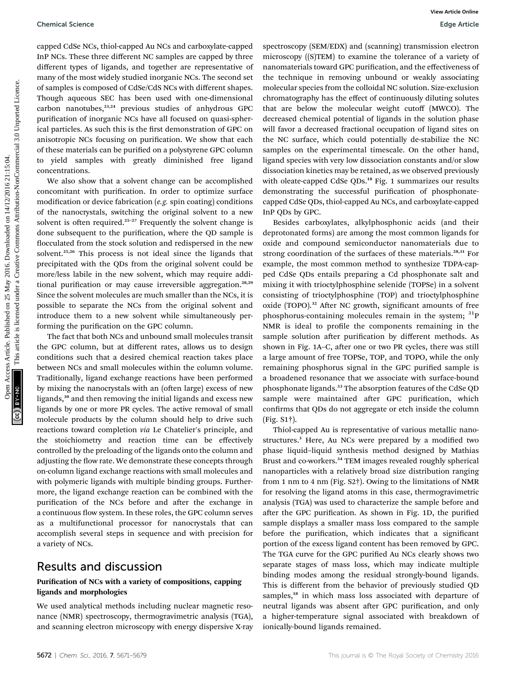#### Chemical Science Edge Article

capped CdSe NCs, thiol-capped Au NCs and carboxylate-capped InP NCs. These three different NC samples are capped by three different types of ligands, and together are representative of many of the most widely studied inorganic NCs. The second set of samples is composed of CdSe/CdS NCs with different shapes. Though aqueous SEC has been used with one-dimensional carbon nanotubes,<sup>23,24</sup> previous studies of anhydrous GPC purification of inorganic NCs have all focused on quasi-spherical particles. As such this is the first demonstration of GPC on anisotropic NCs focusing on purification. We show that each of these materials can be purified on a polystyrene GPC column to yield samples with greatly diminished free ligand concentrations.

We also show that a solvent change can be accomplished concomitant with purification. In order to optimize surface modification or device fabrication ( $e.g.$  spin coating) conditions of the nanocrystals, switching the original solvent to a new solvent is often required.<sup>25-27</sup> Frequently the solvent change is done subsequent to the purification, where the QD sample is flocculated from the stock solution and redispersed in the new solvent.25,26 This process is not ideal since the ligands that precipitated with the QDs from the original solvent could be more/less labile in the new solvent, which may require additional purification or may cause irreversible aggregation.<sup>28,29</sup> Since the solvent molecules are much smaller than the NCs, it is possible to separate the NCs from the original solvent and introduce them to a new solvent while simultaneously performing the purification on the GPC column.

The fact that both NCs and unbound small molecules transit the GPC column, but at different rates, allows us to design conditions such that a desired chemical reaction takes place between NCs and small molecules within the column volume. Traditionally, ligand exchange reactions have been performed by mixing the nanocrystals with an (often large) excess of new ligands,<sup>30</sup> and then removing the initial ligands and excess new ligands by one or more PR cycles. The active removal of small molecule products by the column should help to drive such reactions toward completion via Le Chatelier's principle, and the stoichiometry and reaction time can be effectively controlled by the preloading of the ligands onto the column and adjusting the flow rate. We demonstrate these concepts through on-column ligand exchange reactions with small molecules and with polymeric ligands with multiple binding groups. Furthermore, the ligand exchange reaction can be combined with the purification of the NCs before and after the exchange in a continuous flow system. In these roles, the GPC column serves as a multifunctional processor for nanocrystals that can accomplish several steps in sequence and with precision for a variety of NCs.

### Results and discussion

### Purification of NCs with a variety of compositions, capping ligands and morphologies

We used analytical methods including nuclear magnetic resonance (NMR) spectroscopy, thermogravimetric analysis (TGA), and scanning electron microscopy with energy dispersive X-ray

spectroscopy (SEM/EDX) and (scanning) transmission electron microscopy ((S)TEM) to examine the tolerance of a variety of nanomaterials toward GPC purification, and the effectiveness of the technique in removing unbound or weakly associating molecular species from the colloidal NC solution. Size-exclusion chromatography has the effect of continuously diluting solutes that are below the molecular weight cutoff (MWCO). The decreased chemical potential of ligands in the solution phase will favor a decreased fractional occupation of ligand sites on the NC surface, which could potentially de-stabilize the NC samples on the experimental timescale. On the other hand, ligand species with very low dissociation constants and/or slow dissociation kinetics may be retained, as we observed previously with oleate-capped CdSe QDs.<sup>18</sup> Fig. 1 summarizes our results demonstrating the successful purification of phosphonatecapped CdSe QDs, thiol-capped Au NCs, and carboxylate-capped InP QDs by GPC.

Besides carboxylates, alkylphosphonic acids (and their deprotonated forms) are among the most common ligands for oxide and compound semiconductor nanomaterials due to strong coordination of the surfaces of these materials.<sup>28,31</sup> For example, the most common method to synthesize TDPA-capped CdSe QDs entails preparing a Cd phosphonate salt and mixing it with trioctylphosphine selenide (TOPSe) in a solvent consisting of trioctylphosphine (TOP) and trioctylphosphine oxide (TOPO).<sup>32</sup> After NC growth, significant amounts of free phosphorus-containing molecules remain in the system;  $\binom{31}{9}$ NMR is ideal to profile the components remaining in the sample solution after purification by different methods. As shown in Fig. 1A-C, after one or two PR cycles, there was still a large amount of free TOPSe, TOP, and TOPO, while the only remaining phosphorus signal in the GPC purified sample is a broadened resonance that we associate with surface-bound phosphonate ligands.<sup>33</sup> The absorption features of the CdSe QD sample were maintained after GPC purification, which confirms that QDs do not aggregate or etch inside the column (Fig. S1†). Openical Science<br>
Openical Access Article Common Consulter Compact articles. The common Common Common Common Common Common Common Common Common Common Common Common Common Common Common Common Common Common Common Common C

> Thiol-capped Au is representative of various metallic nanostructures.<sup>3</sup> Here, Au NCs were prepared by a modified two phase liquid–liquid synthesis method designed by Mathias Brust and co-workers.<sup>34</sup> TEM images revealed roughly spherical nanoparticles with a relatively broad size distribution ranging from 1 nm to 4 nm (Fig. S2†). Owing to the limitations of NMR for resolving the ligand atoms in this case, thermogravimetric analysis (TGA) was used to characterize the sample before and after the GPC purification. As shown in Fig. 1D, the purified sample displays a smaller mass loss compared to the sample before the purification, which indicates that a significant portion of the excess ligand content has been removed by GPC. The TGA curve for the GPC purified Au NCs clearly shows two separate stages of mass loss, which may indicate multiple binding modes among the residual strongly-bound ligands. This is different from the behavior of previously studied QD samples,<sup>18</sup> in which mass loss associated with departure of neutral ligands was absent after GPC purification, and only a higher-temperature signal associated with breakdown of ionically-bound ligands remained.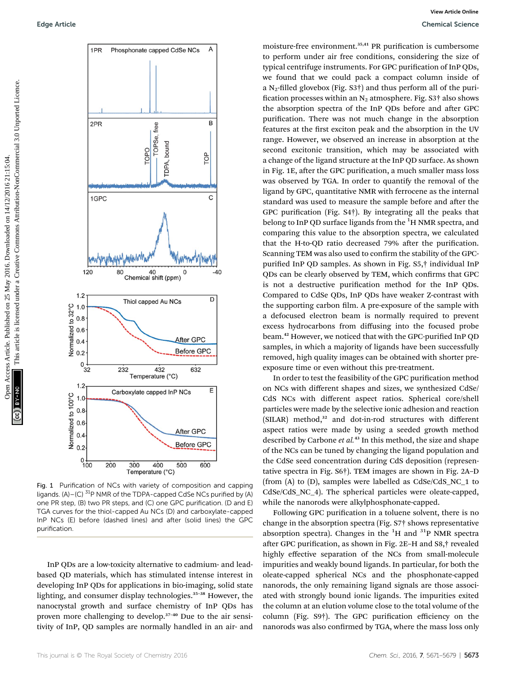

Fig. 1 Purification of NCs with variety of composition and capping ligands. (A)–(C)<sup>31</sup>P NMR of the TDPA-capped CdSe NCs purified by (A) one PR step, (B) two PR steps, and (C) one GPC purification. (D and E) TGA curves for the thiol-capped Au NCs (D) and carboxylate-capped InP NCs (E) before (dashed lines) and after (solid lines) the GPC purification.

InP QDs are a low-toxicity alternative to cadmium- and leadbased QD materials, which has stimulated intense interest in developing InP QDs for applications in bio-imaging, solid state lighting, and consumer display technologies.<sup>35</sup>–<sup>38</sup> However, the nanocrystal growth and surface chemistry of InP QDs has proven more challenging to develop.<sup>37</sup>–<sup>40</sup> Due to the air sensitivity of InP, QD samples are normally handled in an air- and

moisture-free environment.<sup>35,41</sup> PR purification is cumbersome to perform under air free conditions, considering the size of typical centrifuge instruments. For GPC purification of InP QDs, we found that we could pack a compact column inside of a N<sub>2</sub>-filled glovebox (Fig. S3†) and thus perform all of the purification processes within an  $N_2$  atmosphere. Fig. S3<sup>†</sup> also shows the absorption spectra of the InP QDs before and after GPC purification. There was not much change in the absorption features at the first exciton peak and the absorption in the UV range. However, we observed an increase in absorption at the second excitonic transition, which may be associated with a change of the ligand structure at the InP QD surface. As shown in Fig. 1E, after the GPC purification, a much smaller mass loss was observed by TGA. In order to quantify the removal of the ligand by GPC, quantitative NMR with ferrocene as the internal standard was used to measure the sample before and after the GPC purification (Fig.  $S4\dagger$ ). By integrating all the peaks that belong to InP QD surface ligands from the <sup>1</sup>H NMR spectra, and comparing this value to the absorption spectra, we calculated that the H-to-QD ratio decreased 79% after the purification. Scanning TEM was also used to confirm the stability of the GPCpurified InP QD samples. As shown in Fig. S5,† individual InP QDs can be clearly observed by TEM, which confirms that GPC is not a destructive purification method for the InP QDs. Compared to CdSe QDs, InP QDs have weaker Z-contrast with the supporting carbon film. A pre-exposure of the sample with a defocused electron beam is normally required to prevent excess hydrocarbons from diffusing into the focused probe beam.<sup>42</sup> However, we noticed that with the GPC-purified InP QD samples, in which a majority of ligands have been successfully removed, high quality images can be obtained with shorter preexposure time or even without this pre-treatment. Edge Article.<br>
THE Phasphonout exaps at Cole Note Article is article in the conditions, considering the common and common and the form of the Creative Common and the Creative Common and the Creative Common and the Creativ

In order to test the feasibility of the GPC purification method on NCs with different shapes and sizes, we synthesized CdSe/ CdS NCs with different aspect ratios. Spherical core/shell particles were made by the selective ionic adhesion and reaction (SILAR) method,<sup>32</sup> and dot-in-rod structures with different aspect ratios were made by using a seeded growth method described by Carbone et al.<sup>43</sup> In this method, the size and shape of the NCs can be tuned by changing the ligand population and the CdSe seed concentration during CdS deposition (representative spectra in Fig. S6†). TEM images are shown in Fig. 2A–D (from (A) to (D), samples were labelled as CdSe/CdS\_NC\_1 to CdSe/CdS\_NC\_4). The spherical particles were oleate-capped, while the nanorods were alkylphosphonate-capped.

Following GPC purification in a toluene solvent, there is no change in the absorption spectra (Fig. S7† shows representative absorption spectra). Changes in the  ${}^{1}H$  and  ${}^{31}P$  NMR spectra after GPC purification, as shown in Fig. 2E-H and S8,<sup>†</sup> revealed highly effective separation of the NCs from small-molecule impurities and weakly bound ligands. In particular, for both the oleate-capped spherical NCs and the phosphonate-capped nanorods, the only remaining ligand signals are those associated with strongly bound ionic ligands. The impurities exited the column at an elution volume close to the total volume of the column (Fig. S9†). The GPC purification efficiency on the nanorods was also confirmed by TGA, where the mass loss only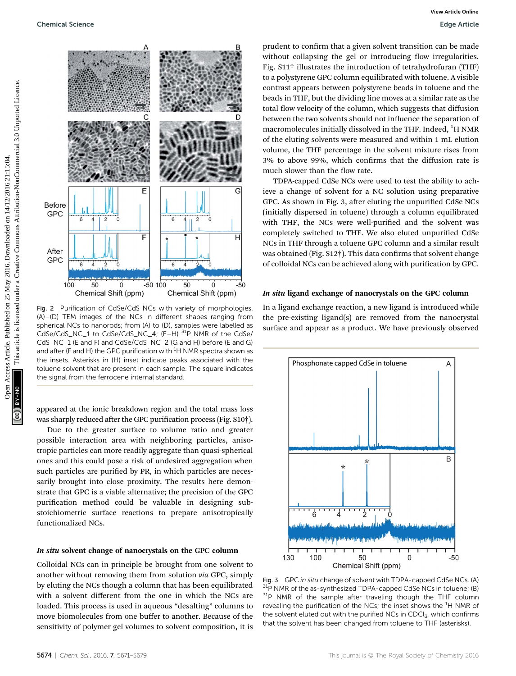

Fig. 2 Purification of CdSe/CdS NCs with variety of morphologies. (A)–(D) TEM images of the NCs in different shapes ranging from spherical NCs to nanorods; from (A) to (D), samples were labelled as CdSe/CdS\_NC\_1 to CdSe/CdS\_NC\_4; (E-H) <sup>31</sup>P NMR of the CdSe/ CdS\_NC\_1 (E and F) and CdSe/CdS\_NC\_2 (G and H) before (E and G) and after (F and H) the GPC purification with  $^{\rm 1}$ H NMR spectra shown as the insets. Asterisks in (H) inset indicate peaks associated with the toluene solvent that are present in each sample. The square indicates the signal from the ferrocene internal standard.

appeared at the ionic breakdown region and the total mass loss was sharply reduced after the GPC purification process (Fig. S10†).

Due to the greater surface to volume ratio and greater possible interaction area with neighboring particles, anisotropic particles can more readily aggregate than quasi-spherical ones and this could pose a risk of undesired aggregation when such particles are purified by PR, in which particles are necessarily brought into close proximity. The results here demonstrate that GPC is a viable alternative; the precision of the GPC purification method could be valuable in designing substoichiometric surface reactions to prepare anisotropically functionalized NCs.

#### In situ solvent change of nanocrystals on the GPC column

Colloidal NCs can in principle be brought from one solvent to another without removing them from solution via GPC, simply by eluting the NCs though a column that has been equilibrated with a solvent different from the one in which the NCs are loaded. This process is used in aqueous "desalting" columns to move biomolecules from one buffer to another. Because of the sensitivity of polymer gel volumes to solvent composition, it is

prudent to confirm that a given solvent transition can be made without collapsing the gel or introducing flow irregularities. Fig. S11† illustrates the introduction of tetrahydrofuran (THF) to a polystyrene GPC column equilibrated with toluene. A visible contrast appears between polystyrene beads in toluene and the beads in THF, but the dividing line moves at a similar rate as the total flow velocity of the column, which suggests that diffusion between the two solvents should not influence the separation of macromolecules initially dissolved in the THF. Indeed,  $^{1}$ H NMR of the eluting solvents were measured and within 1 mL elution volume, the THF percentage in the solvent mixture rises from 3% to above 99%, which confirms that the diffusion rate is much slower than the flow rate.

TDPA-capped CdSe NCs were used to test the ability to achieve a change of solvent for a NC solution using preparative GPC. As shown in Fig. 3, after eluting the unpurified CdSe NCs (initially dispersed in toluene) through a column equilibrated with THF, the NCs were well-purified and the solvent was completely switched to THF. We also eluted unpurified CdSe NCs in THF through a toluene GPC column and a similar result was obtained (Fig.  $S12\dagger$ ). This data confirms that solvent change of colloidal NCs can be achieved along with purification by GPC.

#### In situ ligand exchange of nanocrystals on the GPC column

In a ligand exchange reaction, a new ligand is introduced while the pre-existing ligand(s) are removed from the nanocrystal surface and appear as a product. We have previously observed



Fig. 3 GPC in situ change of solvent with TDPA-capped CdSe NCs. (A) 31P NMR of the as-synthesized TDPA-capped CdSe NCs in toluene; (B)  $31P$  NMR of the sample after traveling though the THF column revealing the purification of the NCs; the inset shows the  ${}^{1}$ H NMR of the solvent eluted out with the purified NCs in CDCl<sub>3</sub>, which confirms that the solvent has been changed from toluene to THF (asterisks).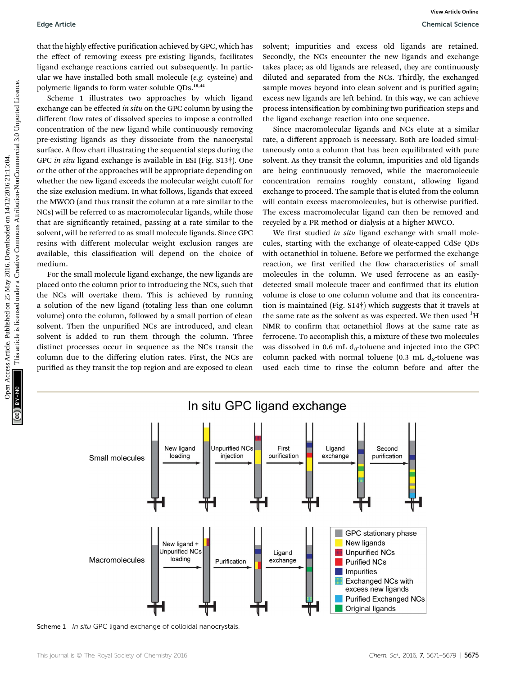that the highly effective purification achieved by GPC, which has the effect of removing excess pre-existing ligands, facilitates ligand exchange reactions carried out subsequently. In particular we have installed both small molecule  $(e.g.$  cysteine) and polymeric ligands to form water-soluble QDs.18,44

Scheme 1 illustrates two approaches by which ligand exchange can be effected in situ on the GPC column by using the different flow rates of dissolved species to impose a controlled concentration of the new ligand while continuously removing pre-existing ligands as they dissociate from the nanocrystal surface. A flow chart illustrating the sequential steps during the GPC in situ ligand exchange is available in ESI (Fig. S13†). One or the other of the approaches will be appropriate depending on whether the new ligand exceeds the molecular weight cutoff for the size exclusion medium. In what follows, ligands that exceed the MWCO (and thus transit the column at a rate similar to the NCs) will be referred to as macromolecular ligands, while those that are signicantly retained, passing at a rate similar to the solvent, will be referred to as small molecule ligands. Since GPC resins with different molecular weight exclusion ranges are available, this classification will depend on the choice of medium. Fage Article<br>
Observate Siemes Article on 25 May 2016 and 2016, the charge of common the effect of removing comes precise the effect of removing common the effect of removing comes are computed to the effect of removing th

For the small molecule ligand exchange, the new ligands are placed onto the column prior to introducing the NCs, such that the NCs will overtake them. This is achieved by running a solution of the new ligand (totaling less than one column volume) onto the column, followed by a small portion of clean solvent. Then the unpurified NCs are introduced, and clean solvent is added to run them through the column. Three distinct processes occur in sequence as the NCs transit the column due to the differing elution rates. First, the NCs are purified as they transit the top region and are exposed to clean

solvent; impurities and excess old ligands are retained. Secondly, the NCs encounter the new ligands and exchange takes place; as old ligands are released, they are continuously diluted and separated from the NCs. Thirdly, the exchanged sample moves beyond into clean solvent and is purified again; excess new ligands are left behind. In this way, we can achieve process intensification by combining two purification steps and the ligand exchange reaction into one sequence.

Since macromolecular ligands and NCs elute at a similar rate, a different approach is necessary. Both are loaded simultaneously onto a column that has been equilibrated with pure solvent. As they transit the column, impurities and old ligands are being continuously removed, while the macromolecule concentration remains roughly constant, allowing ligand exchange to proceed. The sample that is eluted from the column will contain excess macromolecules, but is otherwise purified. The excess macromolecular ligand can then be removed and recycled by a PR method or dialysis at a higher MWCO.

We first studied in situ ligand exchange with small molecules, starting with the exchange of oleate-capped CdSe QDs with octanethiol in toluene. Before we performed the exchange reaction, we first verified the flow characteristics of small molecules in the column. We used ferrocene as an easilydetected small molecule tracer and confirmed that its elution volume is close to one column volume and that its concentration is maintained (Fig. S14†) which suggests that it travels at the same rate as the solvent as was expected. We then used  ${}^{1}\text{H}$ NMR to confirm that octanethiol flows at the same rate as ferrocene. To accomplish this, a mixture of these two molecules was dissolved in 0.6 mL  $d_8$ -toluene and injected into the GPC column packed with normal toluene  $(0.3 \text{ mL } d_{8}$ -toluene was used each time to rinse the column before and after the



Scheme 1 In situ GPC ligand exchange of colloidal nanocrystals.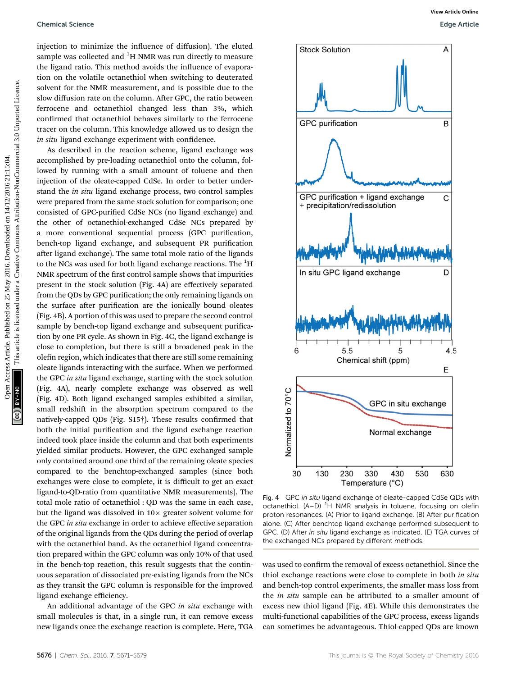#### Chemical Science Edge Article

injection to minimize the influence of diffusion). The eluted sample was collected and  $^{1}$ H NMR was run directly to measure the ligand ratio. This method avoids the influence of evaporation on the volatile octanethiol when switching to deuterated solvent for the NMR measurement, and is possible due to the slow diffusion rate on the column. After GPC, the ratio between ferrocene and octanethiol changed less than 3%, which confirmed that octanethiol behaves similarly to the ferrocene tracer on the column. This knowledge allowed us to design the in situ ligand exchange experiment with confidence.

As described in the reaction scheme, ligand exchange was accomplished by pre-loading octanethiol onto the column, followed by running with a small amount of toluene and then injection of the oleate-capped CdSe. In order to better understand the in situ ligand exchange process, two control samples were prepared from the same stock solution for comparison; one consisted of GPC-purified CdSe NCs (no ligand exchange) and the other of octanethiol-exchanged CdSe NCs prepared by a more conventional sequential process (GPC purification, bench-top ligand exchange, and subsequent PR purification after ligand exchange). The same total mole ratio of the ligands to the NCs was used for both ligand exchange reactions. The <sup>1</sup>H NMR spectrum of the first control sample shows that impurities present in the stock solution (Fig. 4A) are effectively separated from the QDs by GPC purification; the only remaining ligands on the surface after purification are the ionically bound oleates (Fig. 4B). A portion of this was used to prepare the second control sample by bench-top ligand exchange and subsequent purification by one PR cycle. As shown in Fig. 4C, the ligand exchange is close to completion, but there is still a broadened peak in the olefin region, which indicates that there are still some remaining oleate ligands interacting with the surface. When we performed the GPC in situ ligand exchange, starting with the stock solution (Fig. 4A), nearly complete exchange was observed as well (Fig. 4D). Both ligand exchanged samples exhibited a similar, small redshift in the absorption spectrum compared to the natively-capped QDs (Fig.  $S15\dagger$ ). These results confirmed that both the initial purification and the ligand exchange reaction indeed took place inside the column and that both experiments yielded similar products. However, the GPC exchanged sample only contained around one third of the remaining oleate species compared to the benchtop-exchanged samples (since both exchanges were close to complete, it is difficult to get an exact ligand-to-QD-ratio from quantitative NMR measurements). The total mole ratio of octanethiol : QD was the same in each case, but the ligand was dissolved in  $10\times$  greater solvent volume for the GPC in situ exchange in order to achieve effective separation of the original ligands from the QDs during the period of overlap with the octanethiol band. As the octanethiol ligand concentration prepared within the GPC column was only 10% of that used in the bench-top reaction, this result suggests that the continuous separation of dissociated pre-existing ligands from the NCs as they transit the GPC column is responsible for the improved ligand exchange efficiency.

An additional advantage of the GPC in situ exchange with small molecules is that, in a single run, it can remove excess new ligands once the exchange reaction is complete. Here, TGA



Fig. 4 GPC in situ ligand exchange of oleate-capped CdSe QDs with octanethiol.  $(A-D)$  <sup>1</sup>H NMR analysis in toluene, focusing on olefin proton resonances. (A) Prior to ligand exchange. (B) After purification alone. (C) After benchtop ligand exchange performed subsequent to GPC. (D) After in situ ligand exchange as indicated. (E) TGA curves of the exchanged NCs prepared by different methods.

was used to confirm the removal of excess octanethiol. Since the thiol exchange reactions were close to complete in both in situ and bench-top control experiments, the smaller mass loss from the *in situ* sample can be attributed to a smaller amount of excess new thiol ligand (Fig. 4E). While this demonstrates the multi-functional capabilities of the GPC process, excess ligands can sometimes be advantageous. Thiol-capped QDs are known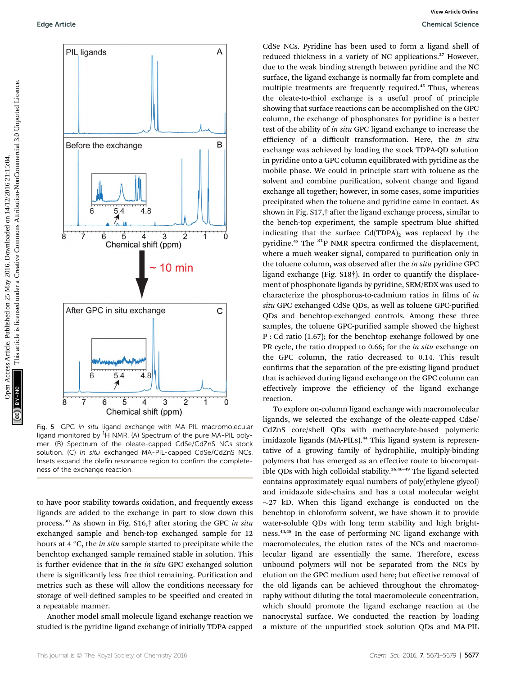

Fig. 5 GPC in situ ligand exchange with MA-PIL macromolecular ligand monitored by <sup>1</sup>H NMR. (A) Spectrum of the pure MA-PIL polymer. (B) Spectrum of the oleate-capped CdSe/CdZnS NCs stock solution. (C) In situ exchanged MA-PIL-capped CdSe/CdZnS NCs. Insets expand the olefin resonance region to confirm the completeness of the exchange reaction.

to have poor stability towards oxidation, and frequently excess ligands are added to the exchange in part to slow down this process.<sup>30</sup> As shown in Fig. S16,<sup>†</sup> after storing the GPC in situ exchanged sample and bench-top exchanged sample for 12 hours at  $4^{\circ}$ C, the *in situ* sample started to precipitate while the benchtop exchanged sample remained stable in solution. This is further evidence that in the *in situ* GPC exchanged solution there is significantly less free thiol remaining. Purification and metrics such as these will allow the conditions necessary for storage of well-defined samples to be specified and created in a repeatable manner.

Another model small molecule ligand exchange reaction we studied is the pyridine ligand exchange of initially TDPA-capped

CdSe NCs. Pyridine has been used to form a ligand shell of reduced thickness in a variety of NC applications.<sup>27</sup> However, due to the weak binding strength between pyridine and the NC surface, the ligand exchange is normally far from complete and multiple treatments are frequently required.<sup>45</sup> Thus, whereas the oleate-to-thiol exchange is a useful proof of principle showing that surface reactions can be accomplished on the GPC column, the exchange of phosphonates for pyridine is a better test of the ability of in situ GPC ligand exchange to increase the efficiency of a difficult transformation. Here, the in situ exchange was achieved by loading the stock TDPA-QD solution in pyridine onto a GPC column equilibrated with pyridine as the mobile phase. We could in principle start with toluene as the solvent and combine purification, solvent change and ligand exchange all together; however, in some cases, some impurities precipitated when the toluene and pyridine came in contact. As shown in Fig. S17,† after the ligand exchange process, similar to the bench-top experiment, the sample spectrum blue shifted indicating that the surface  $Cd(TDPA)_2$  was replaced by the pyridine.<sup>45</sup> The  $31P$  NMR spectra confirmed the displacement, where a much weaker signal, compared to purification only in the toluene column, was observed after the in situ pyridine GPC ligand exchange (Fig. S18†). In order to quantify the displacement of phosphonate ligands by pyridine, SEM/EDX was used to characterize the phosphorus-to-cadmium ratios in films of in situ GPC exchanged CdSe QDs, as well as toluene GPC-purified QDs and benchtop-exchanged controls. Among these three samples, the toluene GPC-purified sample showed the highest P : Cd ratio (1.67); for the benchtop exchange followed by one PR cycle, the ratio dropped to 0.66; for the *in situ* exchange on the GPC column, the ratio decreased to 0.14. This result confirms that the separation of the pre-existing ligand product that is achieved during ligand exchange on the GPC column can effectively improve the efficiency of the ligand exchange reaction. Edge Article.<br>
PIL ligands<br>
PIL ligands<br>
PIL ligands<br>
PIL ligands<br>
The context of the state of Creative Commons are requested the exchange of the specifical commons are frequenced under the access Article is light to the s

> To explore on-column ligand exchange with macromolecular ligands, we selected the exchange of the oleate-capped CdSe/ CdZnS core/shell QDs with methacrylate-based polymeric imidazole ligands (MA-PILs).<sup>44</sup> This ligand system is representative of a growing family of hydrophilic, multiply-binding polymers that has emerged as an effective route to biocompatible QDs with high colloidal stability.26,46–<sup>49</sup> The ligand selected contains approximately equal numbers of poly(ethylene glycol) and imidazole side-chains and has a total molecular weight  $\sim$ 27 kD. When this ligand exchange is conducted on the benchtop in chloroform solvent, we have shown it to provide water-soluble QDs with long term stability and high brightness.44,48 In the case of performing NC ligand exchange with macromolecules, the elution rates of the NCs and macromolecular ligand are essentially the same. Therefore, excess unbound polymers will not be separated from the NCs by elution on the GPC medium used here; but effective removal of the old ligands can be achieved throughout the chromatography without diluting the total macromolecule concentration, which should promote the ligand exchange reaction at the nanocrystal surface. We conducted the reaction by loading a mixture of the unpurified stock solution QDs and MA-PIL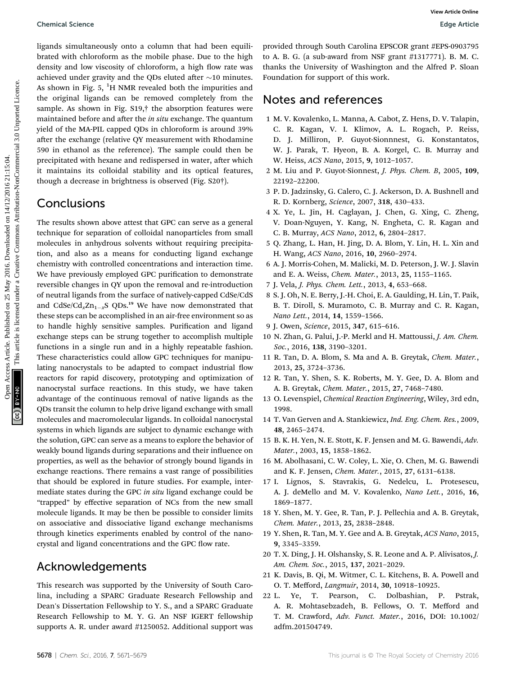ligands simultaneously onto a column that had been equilibrated with chloroform as the mobile phase. Due to the high density and low viscosity of chloroform, a high flow rate was achieved under gravity and the QDs eluted after  $\sim$ 10 minutes. As shown in Fig. 5,  $^{1}$ H NMR revealed both the impurities and the original ligands can be removed completely from the sample. As shown in Fig. S19,† the absorption features were maintained before and after the *in situ* exchange. The quantum yield of the MA-PIL capped QDs in chloroform is around 39% after the exchange (relative QY measurement with Rhodamine 590 in ethanol as the reference). The sample could then be precipitated with hexane and redispersed in water, after which it maintains its colloidal stability and its optical features, though a decrease in brightness is observed (Fig. S20†).

## **Conclusions**

The results shown above attest that GPC can serve as a general technique for separation of colloidal nanoparticles from small molecules in anhydrous solvents without requiring precipitation, and also as a means for conducting ligand exchange chemistry with controlled concentrations and interaction time. We have previously employed GPC purification to demonstrate reversible changes in QY upon the removal and re-introduction of neutral ligands from the surface of natively-capped CdSe/CdS and CdSe/Cd<sub>x</sub>Zn<sub>1-x</sub>S QDs.<sup>19</sup> We have now demonstrated that these steps can be accomplished in an air-free environment so as to handle highly sensitive samples. Purification and ligand exchange steps can be strung together to accomplish multiple functions in a single run and in a highly repeatable fashion. These characteristics could allow GPC techniques for manipulating nanocrystals to be adapted to compact industrial flow reactors for rapid discovery, prototyping and optimization of nanocrystal surface reactions. In this study, we have taken advantage of the continuous removal of native ligands as the QDs transit the column to help drive ligand exchange with small molecules and macromolecular ligands. In colloidal nanocrystal systems in which ligands are subject to dynamic exchange with the solution, GPC can serve as a means to explore the behavior of weakly bound ligands during separations and their influence on properties, as well as the behavior of strongly bound ligands in exchange reactions. There remains a vast range of possibilities that should be explored in future studies. For example, intermediate states during the GPC in situ ligand exchange could be "trapped" by effective separation of NCs from the new small molecule ligands. It may be then be possible to consider limits on associative and dissociative ligand exchange mechanisms through kinetics experiments enabled by control of the nanocrystal and ligand concentrations and the GPC flow rate. Open Access Article. Published on 25 May 2016. Downloaded on 14/12/2016 21:15:04. This article is licensed under a [Creative Commons Attribution-NonCommercial 3.0 Unported Licence.](http://creativecommons.org/licenses/by-nc/3.0/) **[View Article Online](http://dx.doi.org/10.1039/c6sc01301e)**

# Acknowledgements

This research was supported by the University of South Carolina, including a SPARC Graduate Research Fellowship and Dean's Dissertation Fellowship to Y. S., and a SPARC Graduate Research Fellowship to M. Y. G. An NSF IGERT fellowship supports A. R. under award #1250052. Additional support was

provided through South Carolina EPSCOR grant #EPS-0903795 to A. B. G. (a sub-award from NSF grant #1317771). B. M. C. thanks the University of Washington and the Alfred P. Sloan Foundation for support of this work.

### Notes and references

- 1 M. V. Kovalenko, L. Manna, A. Cabot, Z. Hens, D. V. Talapin, C. R. Kagan, V. I. Klimov, A. L. Rogach, P. Reiss, D. J. Milliron, P. Guyot-Sionnnest, G. Konstantatos, W. J. Parak, T. Hyeon, B. A. Korgel, C. B. Murray and W. Heiss, ACS Nano, 2015, 9, 1012–1057.
- 2 M. Liu and P. Guyot-Sionnest, J. Phys. Chem. B, 2005, 109, 22192–22200.
- 3 P. D. Jadzinsky, G. Calero, C. J. Ackerson, D. A. Bushnell and R. D. Kornberg, Science, 2007, 318, 430–433.
- 4 X. Ye, L. Jin, H. Caglayan, J. Chen, G. Xing, C. Zheng, V. Doan-Nguyen, Y. Kang, N. Engheta, C. R. Kagan and C. B. Murray, ACS Nano, 2012, 6, 2804–2817.
- 5 Q. Zhang, L. Han, H. Jing, D. A. Blom, Y. Lin, H. L. Xin and H. Wang, ACS Nano, 2016, 10, 2960–2974.
- 6 A. J. Morris-Cohen, M. Malicki, M. D. Peterson, J. W. J. Slavin and E. A. Weiss, Chem. Mater., 2013, 25, 1155–1165.
- 7 J. Vela, J. Phys. Chem. Lett., 2013, 4, 653–668.
- 8 S. J. Oh, N. E. Berry, J.-H. Choi, E. A. Gaulding, H. Lin, T. Paik, B. T. Diroll, S. Muramoto, C. B. Murray and C. R. Kagan, Nano Lett., 2014, 14, 1559–1566.
- 9 J. Owen, Science, 2015, 347, 615–616.
- 10 N. Zhan, G. Palui, J.-P. Merkl and H. Mattoussi, J. Am. Chem. Soc., 2016, 138, 3190–3201.
- 11 R. Tan, D. A. Blom, S. Ma and A. B. Greytak, Chem. Mater., 2013, 25, 3724–3736.
- 12 R. Tan, Y. Shen, S. K. Roberts, M. Y. Gee, D. A. Blom and A. B. Greytak, Chem. Mater., 2015, 27, 7468–7480.
- 13 O. Levenspiel, Chemical Reaction Engineering, Wiley, 3rd edn, 1998.
- 14 T. Van Gerven and A. Stankiewicz, Ind. Eng. Chem. Res., 2009, 48, 2465–2474.
- 15 B. K. H. Yen, N. E. Stott, K. F. Jensen and M. G. Bawendi, Adv. Mater., 2003, 15, 1858–1862.
- 16 M. Abolhasani, C. W. Coley, L. Xie, O. Chen, M. G. Bawendi and K. F. Jensen, Chem. Mater., 2015, 27, 6131–6138.
- 17 I. Lignos, S. Stavrakis, G. Nedelcu, L. Protesescu, A. J. deMello and M. V. Kovalenko, Nano Lett., 2016, 16, 1869–1877.
- 18 Y. Shen, M. Y. Gee, R. Tan, P. J. Pellechia and A. B. Greytak, Chem. Mater., 2013, 25, 2838–2848.
- 19 Y. Shen, R. Tan, M. Y. Gee and A. B. Greytak, ACS Nano, 2015, 9, 3345–3359.
- 20 T. X. Ding, J. H. Olshansky, S. R. Leone and A. P. Alivisatos, J. Am. Chem. Soc., 2015, 137, 2021–2029.
- 21 K. Davis, B. Qi, M. Witmer, C. L. Kitchens, B. A. Powell and O. T. Mefford, Langmuir, 2014, 30, 10918–10925.
- 22 L. Ye, T. Pearson, C. Dolbashian, P. Pstrak, A. R. Mohtasebzadeh, B. Fellows, O. T. Mefford and T. M. Crawford, Adv. Funct. Mater., 2016, DOI: 10.1002/ adfm.201504749.